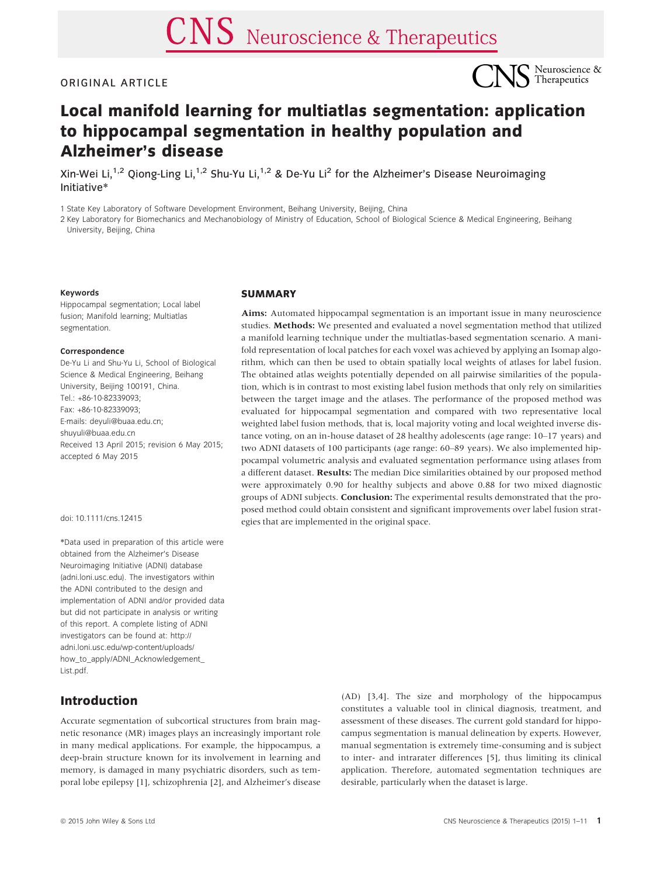## ORIGINAL ARTICLE



# Local manifold learning for multiatlas segmentation: application to hippocampal segmentation in healthy population and Alzheimer's disease

Xin-Wei Li,<sup>1,2</sup> Qiong-Ling Li,<sup>1,2</sup> Shu-Yu Li,<sup>1,2</sup> & De-Yu Li<sup>2</sup> for the Alzheimer's Disease Neuroimaging Initiative\*

1 State Key Laboratory of Software Development Environment, Beihang University, Beijing, China

2 Key Laboratory for Biomechanics and Mechanobiology of Ministry of Education, School of Biological Science & Medical Engineering, Beihang University, Beijing, China

#### Keywords

Hippocampal segmentation; Local label fusion; Manifold learning; Multiatlas segmentation.

#### Correspondence

De-Yu Li and Shu-Yu Li, School of Biological Science & Medical Engineering, Beihang University, Beijing 100191, China. Tel.: +86-10-82339093; Fax: +86-10-82339093; E-mails: deyuli@buaa.edu.cn; shuyuli@buaa.edu.cn Received 13 April 2015; revision 6 May 2015; accepted 6 May 2015

#### doi: 10.1111/cns.12415

\*Data used in preparation of this article were obtained from the Alzheimer's Disease Neuroimaging Initiative (ADNI) database (adni.loni.usc.edu). The investigators within the ADNI contributed to the design and implementation of ADNI and/or provided data but did not participate in analysis or writing of this report. A complete listing of ADNI investigators can be found at: [http://](http://adni.loni.usc.edu/wp-content/uploads/how_to_apply/ADNI_Acknowledgement_List.pdf) [adni.loni.usc.edu/wp-content/uploads/](http://adni.loni.usc.edu/wp-content/uploads/how_to_apply/ADNI_Acknowledgement_List.pdf) [how\\_to\\_apply/ADNI\\_Acknowledgement\\_](http://adni.loni.usc.edu/wp-content/uploads/how_to_apply/ADNI_Acknowledgement_List.pdf) [List.pdf.](http://adni.loni.usc.edu/wp-content/uploads/how_to_apply/ADNI_Acknowledgement_List.pdf)

# Introduction

Accurate segmentation of subcortical structures from brain magnetic resonance (MR) images plays an increasingly important role in many medical applications. For example, the hippocampus, a deep-brain structure known for its involvement in learning and memory, is damaged in many psychiatric disorders, such as temporal lobe epilepsy [1], schizophrenia [2], and Alzheimer's disease

#### **SUMMARY**

Aims: Automated hippocampal segmentation is an important issue in many neuroscience studies. Methods: We presented and evaluated a novel segmentation method that utilized a manifold learning technique under the multiatlas-based segmentation scenario. A manifold representation of local patches for each voxel was achieved by applying an Isomap algorithm, which can then be used to obtain spatially local weights of atlases for label fusion. The obtained atlas weights potentially depended on all pairwise similarities of the population, which is in contrast to most existing label fusion methods that only rely on similarities between the target image and the atlases. The performance of the proposed method was evaluated for hippocampal segmentation and compared with two representative local weighted label fusion methods, that is, local majority voting and local weighted inverse distance voting, on an in-house dataset of 28 healthy adolescents (age range: 10–17 years) and two ADNI datasets of 100 participants (age range: 60–89 years). We also implemented hippocampal volumetric analysis and evaluated segmentation performance using atlases from a different dataset. Results: The median Dice similarities obtained by our proposed method were approximately 0.90 for healthy subjects and above 0.88 for two mixed diagnostic groups of ADNI subjects. Conclusion: The experimental results demonstrated that the proposed method could obtain consistent and significant improvements over label fusion strategies that are implemented in the original space.

> (AD) [3,4]. The size and morphology of the hippocampus constitutes a valuable tool in clinical diagnosis, treatment, and assessment of these diseases. The current gold standard for hippocampus segmentation is manual delineation by experts. However, manual segmentation is extremely time-consuming and is subject to inter- and intrarater differences [5], thus limiting its clinical application. Therefore, automated segmentation techniques are desirable, particularly when the dataset is large.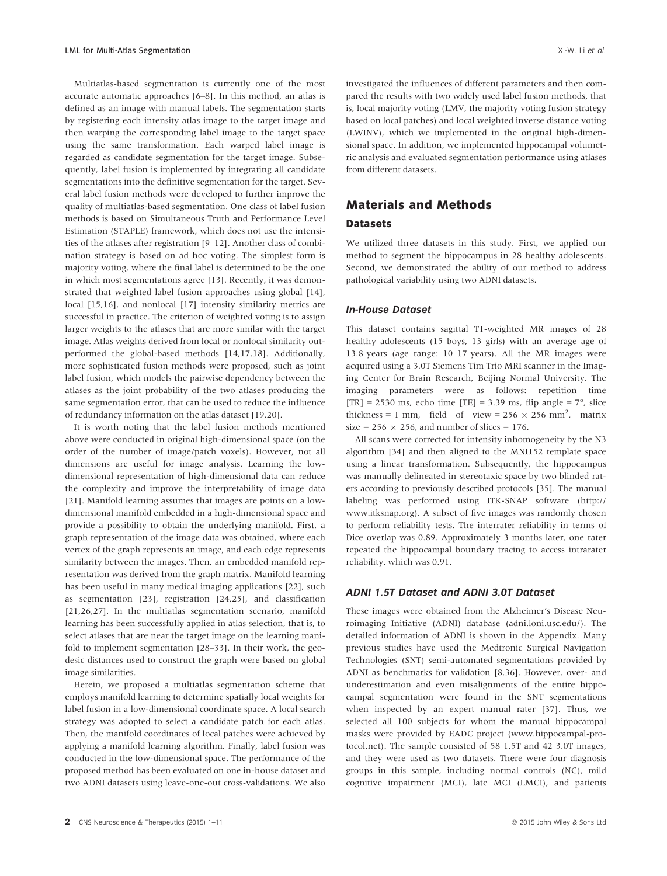Multiatlas-based segmentation is currently one of the most accurate automatic approaches [6–8]. In this method, an atlas is defined as an image with manual labels. The segmentation starts by registering each intensity atlas image to the target image and then warping the corresponding label image to the target space using the same transformation. Each warped label image is regarded as candidate segmentation for the target image. Subsequently, label fusion is implemented by integrating all candidate segmentations into the definitive segmentation for the target. Several label fusion methods were developed to further improve the quality of multiatlas-based segmentation. One class of label fusion methods is based on Simultaneous Truth and Performance Level Estimation (STAPLE) framework, which does not use the intensities of the atlases after registration [9–12]. Another class of combination strategy is based on ad hoc voting. The simplest form is majority voting, where the final label is determined to be the one in which most segmentations agree [13]. Recently, it was demonstrated that weighted label fusion approaches using global [14], local [15,16], and nonlocal [17] intensity similarity metrics are successful in practice. The criterion of weighted voting is to assign larger weights to the atlases that are more similar with the target image. Atlas weights derived from local or nonlocal similarity outperformed the global-based methods [14,17,18]. Additionally, more sophisticated fusion methods were proposed, such as joint label fusion, which models the pairwise dependency between the atlases as the joint probability of the two atlases producing the same segmentation error, that can be used to reduce the influence of redundancy information on the atlas dataset [19,20].

It is worth noting that the label fusion methods mentioned above were conducted in original high-dimensional space (on the order of the number of image/patch voxels). However, not all dimensions are useful for image analysis. Learning the lowdimensional representation of high-dimensional data can reduce the complexity and improve the interpretability of image data [21]. Manifold learning assumes that images are points on a lowdimensional manifold embedded in a high-dimensional space and provide a possibility to obtain the underlying manifold. First, a graph representation of the image data was obtained, where each vertex of the graph represents an image, and each edge represents similarity between the images. Then, an embedded manifold representation was derived from the graph matrix. Manifold learning has been useful in many medical imaging applications [22], such as segmentation [23], registration [24,25], and classification [21,26,27]. In the multiatlas segmentation scenario, manifold learning has been successfully applied in atlas selection, that is, to select atlases that are near the target image on the learning manifold to implement segmentation [28–33]. In their work, the geodesic distances used to construct the graph were based on global image similarities.

Herein, we proposed a multiatlas segmentation scheme that employs manifold learning to determine spatially local weights for label fusion in a low-dimensional coordinate space. A local search strategy was adopted to select a candidate patch for each atlas. Then, the manifold coordinates of local patches were achieved by applying a manifold learning algorithm. Finally, label fusion was conducted in the low-dimensional space. The performance of the proposed method has been evaluated on one in-house dataset and two ADNI datasets using leave-one-out cross-validations. We also

investigated the influences of different parameters and then compared the results with two widely used label fusion methods, that is, local majority voting (LMV, the majority voting fusion strategy based on local patches) and local weighted inverse distance voting (LWINV), which we implemented in the original high-dimensional space. In addition, we implemented hippocampal volumetric analysis and evaluated segmentation performance using atlases from different datasets.

# Materials and Methods

## **Datasets**

We utilized three datasets in this study. First, we applied our method to segment the hippocampus in 28 healthy adolescents. Second, we demonstrated the ability of our method to address pathological variability using two ADNI datasets.

#### In-House Dataset

This dataset contains sagittal T1-weighted MR images of 28 healthy adolescents (15 boys, 13 girls) with an average age of 13.8 years (age range: 10–17 years). All the MR images were acquired using a 3.0T Siemens Tim Trio MRI scanner in the Imaging Center for Brain Research, Beijing Normal University. The imaging parameters were as follows: repetition time [TR] = 2530 ms, echo time [TE] = 3.39 ms, flip angle =  $7^{\circ}$ , slice thickness = 1 mm, field of view =  $256 \times 256$  mm<sup>2</sup>, matrix size = 256  $\times$  256, and number of slices = 176.

All scans were corrected for intensity inhomogeneity by the N3 algorithm [34] and then aligned to the MNI152 template space using a linear transformation. Subsequently, the hippocampus was manually delineated in stereotaxic space by two blinded raters according to previously described protocols [35]. The manual labeling was performed using ITK-SNAP software [\(http://](http://www.itksnap.org) [www.itksnap.org\)](http://www.itksnap.org). A subset of five images was randomly chosen to perform reliability tests. The interrater reliability in terms of Dice overlap was 0.89. Approximately 3 months later, one rater repeated the hippocampal boundary tracing to access intrarater reliability, which was 0.91.

#### ADNI 1.5T Dataset and ADNI 3.0T Dataset

These images were obtained from the Alzheimer's Disease Neuroimaging Initiative (ADNI) database (adni.loni.usc.edu/). The detailed information of ADNI is shown in the Appendix. Many previous studies have used the Medtronic Surgical Navigation Technologies (SNT) semi-automated segmentations provided by ADNI as benchmarks for validation [8,36]. However, over- and underestimation and even misalignments of the entire hippocampal segmentation were found in the SNT segmentations when inspected by an expert manual rater [37]. Thus, we selected all 100 subjects for whom the manual hippocampal masks were provided by EADC project [\(www.hippocampal-pro](http://www.hippocampal-protocol.net)[tocol.net\)](http://www.hippocampal-protocol.net). The sample consisted of 58 1.5T and 42 3.0T images, and they were used as two datasets. There were four diagnosis groups in this sample, including normal controls (NC), mild cognitive impairment (MCI), late MCI (LMCI), and patients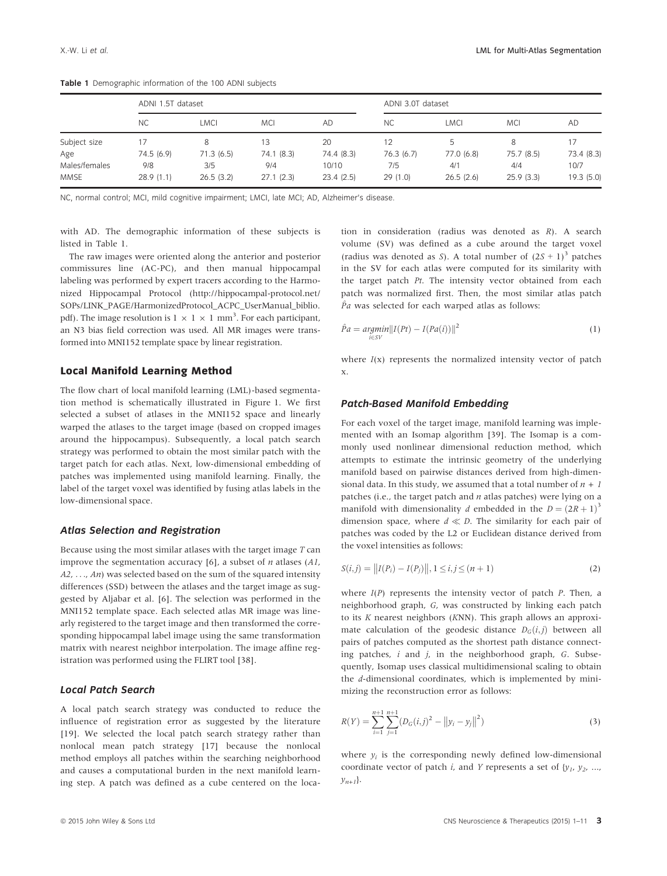|               | ADNI 1.5T dataset |           |            | ADNI 3.0T dataset |           |            |            |            |
|---------------|-------------------|-----------|------------|-------------------|-----------|------------|------------|------------|
|               | <b>NC</b>         | LMCI      | <b>MCI</b> | AD                | <b>NC</b> | LMCI       | <b>MCI</b> | AD         |
| Subject size  | 17                | 8         | 13         | 20                |           |            | 8          |            |
| Age           | 74.5 (6.9)        | 71.3(6.5) | 74.1 (8.3) | 74.4 (8.3)        | 76.3(6.7) | 77.0 (6.8) | 75.7 (8.5) | 73.4 (8.3) |
| Males/females | 9/8               | 3/5       | 9/4        | 10/10             | 7/5       | 4/1        | 4/4        | 10/7       |
| <b>MMSE</b>   | 28.9(1.1)         | 26.5(3.2) | 27.1(2.3)  | 23.4(2.5)         | 29(1.0)   | 26.5(2.6)  | 25.9(3.3)  | 19.3 (5.0) |

Table 1 Demographic information of the 100 ADNI subjects

NC, normal control; MCI, mild cognitive impairment; LMCI, late MCI; AD, Alzheimer's disease.

with AD. The demographic information of these subjects is listed in Table 1.

The raw images were oriented along the anterior and posterior commissures line (AC-PC), and then manual hippocampal labeling was performed by expert tracers according to the Harmonized Hippocampal Protocol ([http://hippocampal-protocol.net/](http://hippocampal-protocol.net/SOPs/LINK_PAGE/HarmonizedProtocol_ACPC_UserManual_biblio.pdf) [SOPs/LINK\\_PAGE/HarmonizedProtocol\\_ACPC\\_UserManual\\_biblio.](http://hippocampal-protocol.net/SOPs/LINK_PAGE/HarmonizedProtocol_ACPC_UserManual_biblio.pdf) [pdf\)](http://hippocampal-protocol.net/SOPs/LINK_PAGE/HarmonizedProtocol_ACPC_UserManual_biblio.pdf). The image resolution is  $1 \times 1 \times 1$  mm<sup>3</sup>. For each participant, an N3 bias field correction was used. All MR images were transformed into MNI152 template space by linear registration.

#### Local Manifold Learning Method

The flow chart of local manifold learning (LML)-based segmentation method is schematically illustrated in Figure 1. We first selected a subset of atlases in the MNI152 space and linearly warped the atlases to the target image (based on cropped images around the hippocampus). Subsequently, a local patch search strategy was performed to obtain the most similar patch with the target patch for each atlas. Next, low-dimensional embedding of patches was implemented using manifold learning. Finally, the label of the target voxel was identified by fusing atlas labels in the low-dimensional space.

#### Atlas Selection and Registration

Because using the most similar atlases with the target image  $T$  can improve the segmentation accuracy [6], a subset of  $n$  atlases (A1,  $A2, \ldots, An$  was selected based on the sum of the squared intensity differences (SSD) between the atlases and the target image as suggested by Aljabar et al. [6]. The selection was performed in the MNI152 template space. Each selected atlas MR image was linearly registered to the target image and then transformed the corresponding hippocampal label image using the same transformation matrix with nearest neighbor interpolation. The image affine registration was performed using the FLIRT tool [38].

## Local Patch Search

A local patch search strategy was conducted to reduce the influence of registration error as suggested by the literature [19]. We selected the local patch search strategy rather than nonlocal mean patch strategy [17] because the nonlocal method employs all patches within the searching neighborhood and causes a computational burden in the next manifold learning step. A patch was defined as a cube centered on the location in consideration (radius was denoted as R). A search volume (SV) was defined as a cube around the target voxel (radius was denoted as S). A total number of  $(2S + 1)^3$  patches in the SV for each atlas were computed for its similarity with the target patch Pt. The intensity vector obtained from each patch was normalized first. Then, the most similar atlas patch  $\hat{p}_a$  was selected for each warped atlas as follows:

$$
\hat{P}a = \underset{i \in SV}{\operatorname{argmin}} ||I(Pt) - I(Pa(i))||^2 \tag{1}
$$

where  $I(x)$  represents the normalized intensity vector of patch x.

#### Patch-Based Manifold Embedding

For each voxel of the target image, manifold learning was implemented with an Isomap algorithm [39]. The Isomap is a commonly used nonlinear dimensional reduction method, which attempts to estimate the intrinsic geometry of the underlying manifold based on pairwise distances derived from high-dimensional data. In this study, we assumed that a total number of  $n+1$ patches (i.e., the target patch and  $n$  atlas patches) were lying on a manifold with dimensionality d embedded in the  $D = (2R + 1)^3$ dimension space, where  $d \ll D$ . The similarity for each pair of patches was coded by the L2 or Euclidean distance derived from the voxel intensities as follows:

$$
S(i,j) = ||I(P_i) - I(P_j)||, 1 \le i, j \le (n+1)
$$
\n(2)

where  $I(P)$  represents the intensity vector of patch P. Then, a neighborhood graph, G, was constructed by linking each patch to its K nearest neighbors (KNN). This graph allows an approximate calculation of the geodesic distance  $D_G(i, j)$  between all pairs of patches computed as the shortest path distance connecting patches,  $i$  and  $j$ , in the neighborhood graph,  $G$ . Subsequently, Isomap uses classical multidimensional scaling to obtain the d-dimensional coordinates, which is implemented by minimizing the reconstruction error as follows:

$$
R(Y) = \sum_{i=1}^{n+1} \sum_{j=1}^{n+1} (D_G(i,j)^2 - ||y_i - y_j||^2)
$$
\n(3)

where  $y_i$  is the corresponding newly defined low-dimensional coordinate vector of patch *i*, and *Y* represents a set of  $\{y_1, y_2, ...,$  $y_{n+1}$ .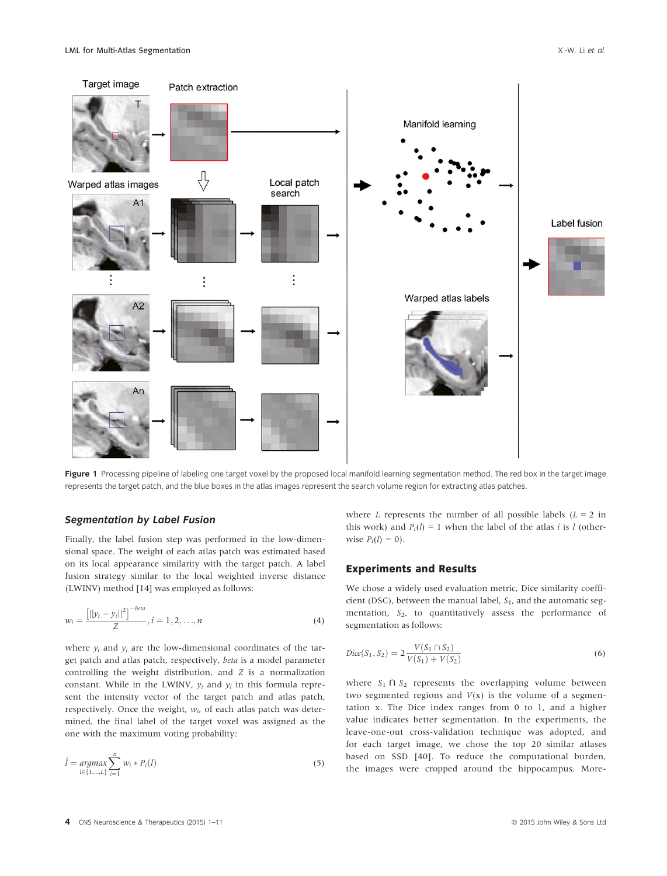

Figure 1 Processing pipeline of labeling one target voxel by the proposed local manifold learning segmentation method. The red box in the target image represents the target patch, and the blue boxes in the atlas images represent the search volume region for extracting atlas patches.

#### Segmentation by Label Fusion

Finally, the label fusion step was performed in the low-dimensional space. The weight of each atlas patch was estimated based on its local appearance similarity with the target patch. A label fusion strategy similar to the local weighted inverse distance (LWINV) method [14] was employed as follows:

$$
w_i = \frac{\left[||y_t - y_i||^2\right]^{-beta}}{Z}, i = 1, 2, \dots, n
$$
\n(4)

where  $y_t$  and  $y_i$  are the low-dimensional coordinates of the target patch and atlas patch, respectively, beta is a model parameter controlling the weight distribution, and Z is a normalization constant. While in the LWINV,  $y_t$  and  $y_i$  in this formula represent the intensity vector of the target patch and atlas patch, respectively. Once the weight,  $w_i$ , of each atlas patch was determined, the final label of the target voxel was assigned as the one with the maximum voting probability:

$$
\hat{l} = \underset{l \in \{1, \ldots, L\}}{\arg \max} \sum_{i=1}^{n} w_i * P_i(l) \tag{5}
$$

where L represents the number of all possible labels  $(L = 2$  in this work) and  $P_i(l) = 1$  when the label of the atlas *i* is *l* (otherwise  $P_i(l) = 0$ .

#### Experiments and Results

We chose a widely used evaluation metric, Dice similarity coefficient (DSC), between the manual label,  $S_1$ , and the automatic segmentation,  $S_2$ , to quantitatively assess the performance of segmentation as follows:

$$
Dice(S_1, S_2) = 2 \frac{V(S_1 \cap S_2)}{V(S_1) + V(S_2)}
$$
\n(6)

where  $S_1 \cap S_2$  represents the overlapping volume between two segmented regions and  $V(x)$  is the volume of a segmentation x. The Dice index ranges from 0 to 1, and a higher value indicates better segmentation. In the experiments, the leave-one-out cross-validation technique was adopted, and for each target image, we chose the top 20 similar atlases based on SSD [40]. To reduce the computational burden, the images were cropped around the hippocampus. More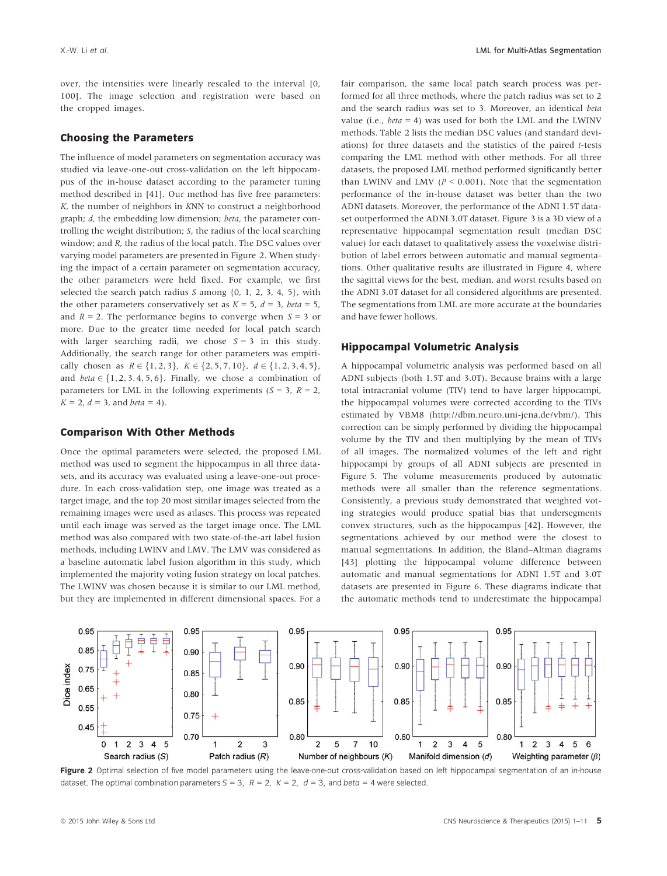over, the intensities were linearly rescaled to the interval [0, 100]. The image selection and registration were based on the cropped images.

#### Choosing the Parameters

The influence of model parameters on segmentation accuracy was studied via leave-one-out cross-validation on the left hippocampus of the in-house dataset according to the parameter tuning method described in [41]. Our method has five free parameters: K, the number of neighbors in KNN to construct a neighborhood graph; d, the embedding low dimension; beta, the parameter controlling the weight distribution; S, the radius of the local searching window; and R, the radius of the local patch. The DSC values over varying model parameters are presented in Figure 2. When studying the impact of a certain parameter on segmentation accuracy, the other parameters were held fixed. For example, we first selected the search patch radius  $S$  among  $\{0, 1, 2, 3, 4, 5\}$ , with the other parameters conservatively set as  $K = 5$ ,  $d = 3$ , beta = 5, and  $R = 2$ . The performance begins to converge when  $S = 3$  or more. Due to the greater time needed for local patch search with larger searching radii, we chose  $S = 3$  in this study. Additionally, the search range for other parameters was empirically chosen as  $R \in \{1, 2, 3\}$ ,  $K \in \{2, 5, 7, 10\}$ ,  $d \in \{1, 2, 3, 4, 5\}$ , and  $beta \in \{1, 2, 3, 4, 5, 6\}$ . Finally, we chose a combination of parameters for LML in the following experiments ( $S = 3$ ,  $R = 2$ ,  $K = 2$ ,  $d = 3$ , and *beta* = 4).

#### Comparison With Other Methods

Once the optimal parameters were selected, the proposed LML method was used to segment the hippocampus in all three datasets, and its accuracy was evaluated using a leave-one-out procedure. In each cross-validation step, one image was treated as a target image, and the top 20 most similar images selected from the remaining images were used as atlases. This process was repeated until each image was served as the target image once. The LML method was also compared with two state-of-the-art label fusion methods, including LWINV and LMV. The LMV was considered as a baseline automatic label fusion algorithm in this study, which implemented the majority voting fusion strategy on local patches. The LWINV was chosen because it is similar to our LML method, but they are implemented in different dimensional spaces. For a

fair comparison, the same local patch search process was performed for all three methods, where the patch radius was set to 2 and the search radius was set to 3. Moreover, an identical beta value (i.e.,  $beta = 4$ ) was used for both the LML and the LWINV methods. Table 2 lists the median DSC values (and standard deviations) for three datasets and the statistics of the paired t-tests comparing the LML method with other methods. For all three datasets, the proposed LML method performed significantly better than LWINV and LMV ( $P \le 0.001$ ). Note that the segmentation performance of the in-house dataset was better than the two ADNI datasets. Moreover, the performance of the ADNI 1.5T dataset outperformed the ADNI 3.0T dataset. Figure 3 is a 3D view of a representative hippocampal segmentation result (median DSC value) for each dataset to qualitatively assess the voxelwise distribution of label errors between automatic and manual segmentations. Other qualitative results are illustrated in Figure 4, where the sagittal views for the best, median, and worst results based on the ADNI 3.0T dataset for all considered algorithms are presented. The segmentations from LML are more accurate at the boundaries and have fewer hollows.

#### Hippocampal Volumetric Analysis

A hippocampal volumetric analysis was performed based on all ADNI subjects (both 1.5T and 3.0T). Because brains with a large total intracranial volume (TIV) tend to have larger hippocampi, the hippocampal volumes were corrected according to the TIVs estimated by VBM8 [\(http://dbm.neuro.uni-jena.de/vbm/\)](http://dbm.neuro.uni-jena.de/vbm/). This correction can be simply performed by dividing the hippocampal volume by the TIV and then multiplying by the mean of TIVs of all images. The normalized volumes of the left and right hippocampi by groups of all ADNI subjects are presented in Figure 5. The volume measurements produced by automatic methods were all smaller than the reference segmentations. Consistently, a previous study demonstrated that weighted voting strategies would produce spatial bias that undersegments convex structures, such as the hippocampus [42]. However, the segmentations achieved by our method were the closest to manual segmentations. In addition, the Bland–Altman diagrams [43] plotting the hippocampal volume difference between automatic and manual segmentations for ADNI 1.5T and 3.0T datasets are presented in Figure 6. These diagrams indicate that the automatic methods tend to underestimate the hippocampal



Figure 2 Optimal selection of five model parameters using the leave-one-out cross-validation based on left hippocampal segmentation of an in-house dataset. The optimal combination parameters  $S = 3$ ,  $R = 2$ ,  $K = 2$ ,  $d = 3$ , and beta = 4 were selected.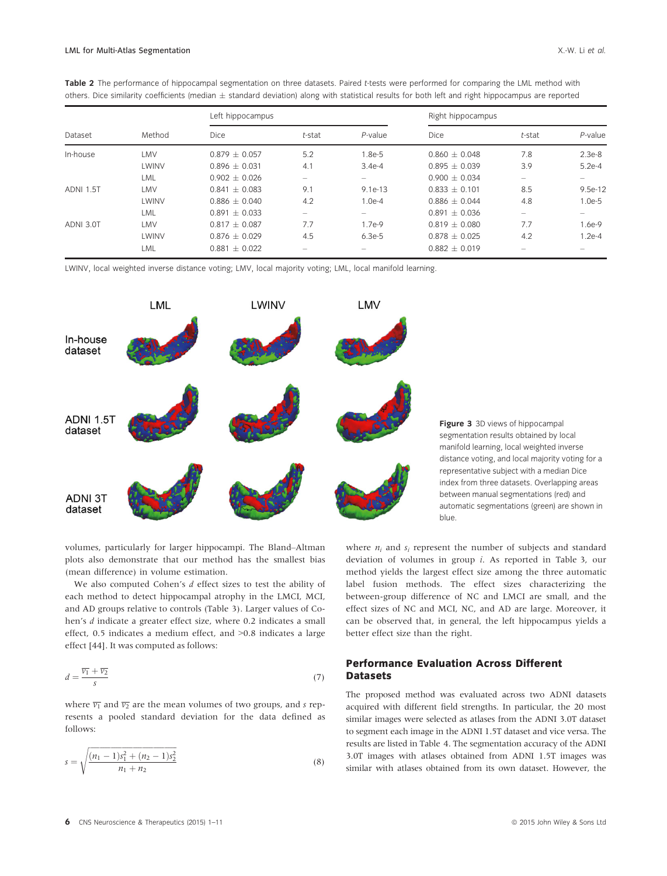| others. Dice similarity coefficients (median $\pm$ standard deviation) along with statistical results for both left and right hippocampus are reported |                        |                   |        |            |                   |        |            |  |  |  |
|--------------------------------------------------------------------------------------------------------------------------------------------------------|------------------------|-------------------|--------|------------|-------------------|--------|------------|--|--|--|
| Dataset                                                                                                                                                | Method                 | Left hippocampus  |        |            | Right hippocampus |        |            |  |  |  |
|                                                                                                                                                        |                        | <b>Dice</b>       | t-stat | $P$ -value | Dice              | t-stat | $P$ -value |  |  |  |
| In-house                                                                                                                                               | LMV                    | $0.879 \pm 0.057$ | 5.2    | 1.8e-5     | $0.860 \pm 0.048$ | 7.8    | $2.3e-8$   |  |  |  |
|                                                                                                                                                        | LWINV                  | $0.896 + 0.031$   | 4.1    | $3.4e-4$   | $0.895 + 0.039$   | 3.9    | $5.2e-4$   |  |  |  |
|                                                                                                                                                        | LML                    | $0.902 + 0.026$   |        |            | $0.900 + 0.034$   |        |            |  |  |  |
| <b>ADNI 1.5T</b>                                                                                                                                       | LMV                    | $0.841 + 0.083$   | 9.1    | $9.1e-13$  | $0.833 + 0.101$   | 8.5    | 9.5e-12    |  |  |  |
|                                                                                                                                                        | LWINV                  | $0.886 \pm 0.040$ | 4.2    | $1.0e-4$   | $0.886 + 0.044$   | 4.8    | $1.0e-5$   |  |  |  |
|                                                                                                                                                        | <b>IA</b> <sup>1</sup> | $0.001 + 0.022$   |        |            | $0.001 \pm 0.024$ |        |            |  |  |  |

ADNI 3.0T LMV 0.817 0.087 7.7 1.7e-9 0.819 0.080 7.7 1.6e-9

 $\text{LML}$  0.891  $\pm$  0.033 – – – 0.891  $\pm$  0.036 – – –

LWINV 0.876 0.029 4.5 6.3e-5 0.878 0.025 4.2 1.2e-4 LML  $0.881 \pm 0.022$  – –  $0.882 \pm 0.019$  – –

Table 2 The performance of hippocampal segmentation on three datasets. Paired t-tests were performed for comparing the LML method with

LWINV, local weighted inverse distance voting; LMV, local majority voting; LML, local manifold learning.



Figure 3 3D views of hippocampal segmentation results obtained by local manifold learning, local weighted inverse distance voting, and local majority voting for a representative subject with a median Dice index from three datasets. Overlapping areas between manual segmentations (red) and automatic segmentations (green) are shown in blue.

volumes, particularly for larger hippocampi. The Bland–Altman plots also demonstrate that our method has the smallest bias (mean difference) in volume estimation.

We also computed Cohen's  $d$  effect sizes to test the ability of each method to detect hippocampal atrophy in the LMCI, MCI, and AD groups relative to controls (Table 3). Larger values of Cohen's d indicate a greater effect size, where 0.2 indicates a small effect, 0.5 indicates a medium effect, and >0.8 indicates a large effect [44]. It was computed as follows:

$$
d = \frac{\overline{v_1} + \overline{v_2}}{s} \tag{7}
$$

where  $\overline{v_1}$  and  $\overline{v_2}$  are the mean volumes of two groups, and s represents a pooled standard deviation for the data defined as follows:

$$
s = \sqrt{\frac{(n_1 - 1)s_1^2 + (n_2 - 1)s_2^2}{n_1 + n_2}}
$$
\n(8)

where  $n_i$  and  $s_i$  represent the number of subjects and standard deviation of volumes in group i. As reported in Table 3, our method yields the largest effect size among the three automatic label fusion methods. The effect sizes characterizing the between-group difference of NC and LMCI are small, and the effect sizes of NC and MCI, NC, and AD are large. Moreover, it can be observed that, in general, the left hippocampus yields a better effect size than the right.

## Performance Evaluation Across Different Datasets

The proposed method was evaluated across two ADNI datasets acquired with different field strengths. In particular, the 20 most similar images were selected as atlases from the ADNI 3.0T dataset to segment each image in the ADNI 1.5T dataset and vice versa. The results are listed in Table 4. The segmentation accuracy of the ADNI 3.0T images with atlases obtained from ADNI 1.5T images was similar with atlases obtained from its own dataset. However, the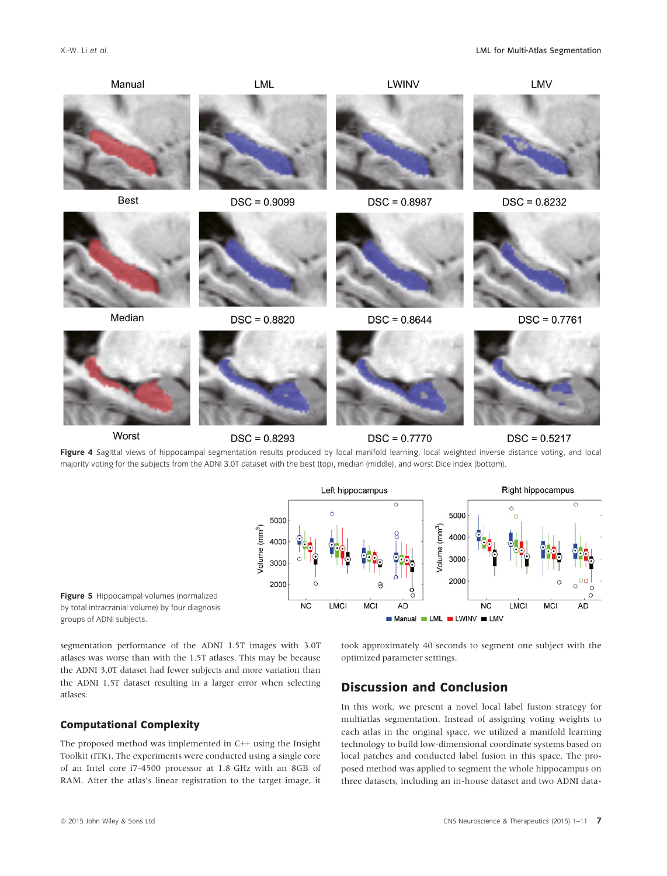

**NC** 

**LMCI** 

**MCI** 

**AD** 

Figure 5 Hippocampal volumes (normalized by total intracranial volume) by four diagnosis groups of ADNI subjects.

segmentation performance of the ADNI 1.5T images with 3.0T atlases was worse than with the 1.5T atlases. This may be because the ADNI 3.0T dataset had fewer subjects and more variation than the ADNI 1.5T dataset resulting in a larger error when selecting atlases.

#### Computational Complexity

The proposed method was implemented in C++ using the Insight Toolkit (ITK). The experiments were conducted using a single core of an Intel core i7-4500 processor at 1.8 GHz with an 8GB of RAM. After the atlas's linear registration to the target image, it took approximately 40 seconds to segment one subject with the optimized parameter settings.

Manual LML LWINV LMV

 $NC$ 

LMCI

**MCI** 

**AD** 

# Discussion and Conclusion

In this work, we present a novel local label fusion strategy for multiatlas segmentation. Instead of assigning voting weights to each atlas in the original space, we utilized a manifold learning technology to build low-dimensional coordinate systems based on local patches and conducted label fusion in this space. The proposed method was applied to segment the whole hippocampus on three datasets, including an in-house dataset and two ADNI data-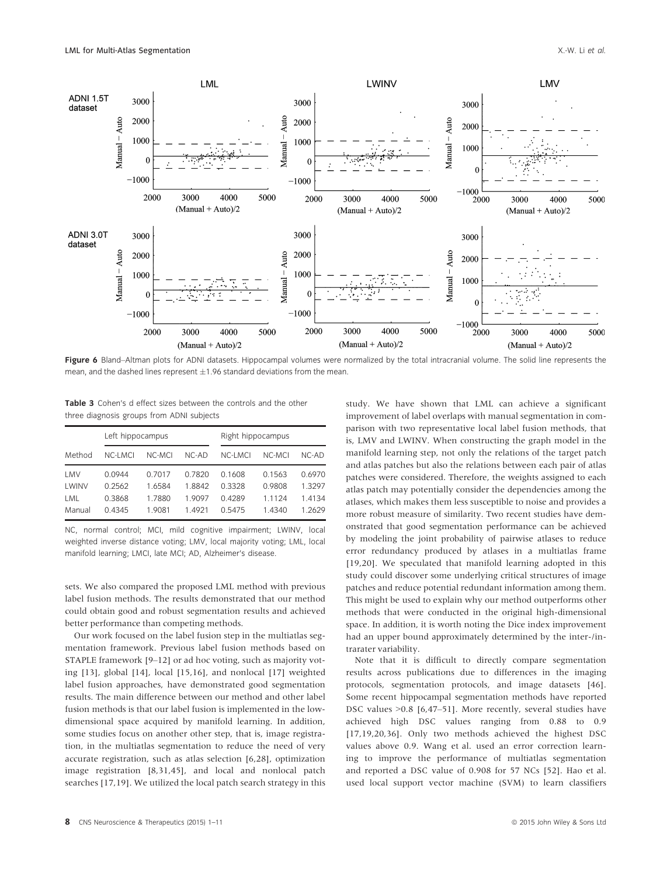

Figure 6 Bland–Altman plots for ADNI datasets. Hippocampal volumes were normalized by the total intracranial volume. The solid line represents the mean, and the dashed lines represent  $\pm 1.96$  standard deviations from the mean.

Table 3 Cohen's d effect sizes between the controls and the other three diagnosis groups from ADNI subjects

|        | Left hippocampus |        |         | Right hippocampus |           |         |  |
|--------|------------------|--------|---------|-------------------|-----------|---------|--|
| Method | NC-LMCI          | NC-MCI | $NC-AD$ | NC-LMCI           | NC-MCI    | $NC-AD$ |  |
| LMV    | 0.0944           | 0.7017 | 07820   | 0.1608            | 0.1563    | 0.6970  |  |
| LWINV  | 0.2562           | 1 6584 | 18842   | 0.3328            | 0.9808    | 1.3297  |  |
| LML    | 0.3868           | 1.7880 | 1 9097  | 04289             | 1 1 1 2 4 | 1.4134  |  |
| Manual | 04345            | 1.9081 | 1 4921  | 0.5475            | 14340     | 1 2629  |  |

NC, normal control; MCI, mild cognitive impairment; LWINV, local weighted inverse distance voting; LMV, local majority voting; LML, local manifold learning; LMCI, late MCI; AD, Alzheimer's disease.

sets. We also compared the proposed LML method with previous label fusion methods. The results demonstrated that our method could obtain good and robust segmentation results and achieved better performance than competing methods.

Our work focused on the label fusion step in the multiatlas segmentation framework. Previous label fusion methods based on STAPLE framework [9–12] or ad hoc voting, such as majority voting [13], global [14], local [15,16], and nonlocal [17] weighted label fusion approaches, have demonstrated good segmentation results. The main difference between our method and other label fusion methods is that our label fusion is implemented in the lowdimensional space acquired by manifold learning. In addition, some studies focus on another other step, that is, image registration, in the multiatlas segmentation to reduce the need of very accurate registration, such as atlas selection [6,28], optimization image registration [8,31,45], and local and nonlocal patch searches [17,19]. We utilized the local patch search strategy in this study. We have shown that LML can achieve a significant improvement of label overlaps with manual segmentation in comparison with two representative local label fusion methods, that is, LMV and LWINV. When constructing the graph model in the manifold learning step, not only the relations of the target patch and atlas patches but also the relations between each pair of atlas patches were considered. Therefore, the weights assigned to each atlas patch may potentially consider the dependencies among the atlases, which makes them less susceptible to noise and provides a more robust measure of similarity. Two recent studies have demonstrated that good segmentation performance can be achieved by modeling the joint probability of pairwise atlases to reduce error redundancy produced by atlases in a multiatlas frame [19,20]. We speculated that manifold learning adopted in this study could discover some underlying critical structures of image patches and reduce potential redundant information among them. This might be used to explain why our method outperforms other methods that were conducted in the original high-dimensional space. In addition, it is worth noting the Dice index improvement had an upper bound approximately determined by the inter-/intrarater variability.

Note that it is difficult to directly compare segmentation results across publications due to differences in the imaging protocols, segmentation protocols, and image datasets [46]. Some recent hippocampal segmentation methods have reported DSC values >0.8 [6,47–51]. More recently, several studies have achieved high DSC values ranging from 0.88 to 0.9 [17,19,20,36]. Only two methods achieved the highest DSC values above 0.9. Wang et al. used an error correction learning to improve the performance of multiatlas segmentation and reported a DSC value of 0.908 for 57 NCs [52]. Hao et al. used local support vector machine (SVM) to learn classifiers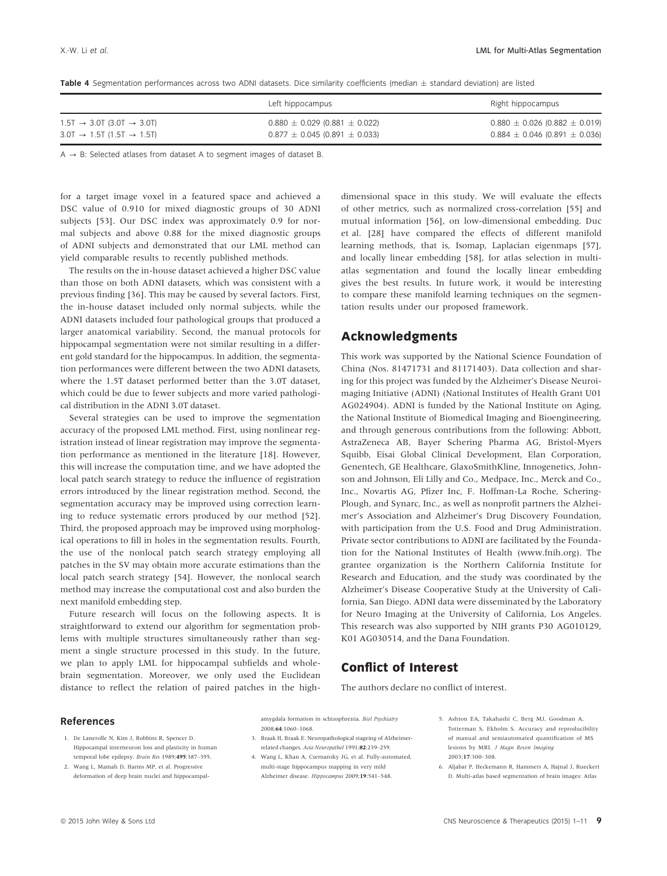| Table 4 Segmentation performances across two ADNI datasets. Dice similarity coefficients (median $\pm$ standard deviation) are listed |  |  |  |  |  |  |
|---------------------------------------------------------------------------------------------------------------------------------------|--|--|--|--|--|--|
|                                                                                                                                       |  |  |  |  |  |  |

|                                                      | Left hippocampus                      | Right hippocampus                     |
|------------------------------------------------------|---------------------------------------|---------------------------------------|
| $1.5T \rightarrow 3.0T$ (3.0T $\rightarrow 3.0T$ )   | $0.880 \pm 0.029$ (0.881 $\pm$ 0.022) | $0.880 \pm 0.026$ (0.882 $\pm$ 0.019) |
| $3.0$ T $\rightarrow$ 1.5T (1.5T $\rightarrow$ 1.5T) | $0.877 \pm 0.045$ (0.891 $\pm$ 0.033) | $0.884 \pm 0.046$ (0.891 $\pm$ 0.036) |

 $A \rightarrow B$ : Selected atlases from dataset A to segment images of dataset B.

for a target image voxel in a featured space and achieved a DSC value of 0.910 for mixed diagnostic groups of 30 ADNI subjects [53]. Our DSC index was approximately 0.9 for normal subjects and above 0.88 for the mixed diagnostic groups of ADNI subjects and demonstrated that our LML method can yield comparable results to recently published methods.

The results on the in-house dataset achieved a higher DSC value than those on both ADNI datasets, which was consistent with a previous finding [36]. This may be caused by several factors. First, the in-house dataset included only normal subjects, while the ADNI datasets included four pathological groups that produced a larger anatomical variability. Second, the manual protocols for hippocampal segmentation were not similar resulting in a different gold standard for the hippocampus. In addition, the segmentation performances were different between the two ADNI datasets, where the 1.5T dataset performed better than the 3.0T dataset, which could be due to fewer subjects and more varied pathological distribution in the ADNI 3.0T dataset.

Several strategies can be used to improve the segmentation accuracy of the proposed LML method. First, using nonlinear registration instead of linear registration may improve the segmentation performance as mentioned in the literature [18]. However, this will increase the computation time, and we have adopted the local patch search strategy to reduce the influence of registration errors introduced by the linear registration method. Second, the segmentation accuracy may be improved using correction learning to reduce systematic errors produced by our method [52]. Third, the proposed approach may be improved using morphological operations to fill in holes in the segmentation results. Fourth, the use of the nonlocal patch search strategy employing all patches in the SV may obtain more accurate estimations than the local patch search strategy [54]. However, the nonlocal search method may increase the computational cost and also burden the next manifold embedding step.

Future research will focus on the following aspects. It is straightforward to extend our algorithm for segmentation problems with multiple structures simultaneously rather than segment a single structure processed in this study. In the future, we plan to apply LML for hippocampal subfields and wholebrain segmentation. Moreover, we only used the Euclidean distance to reflect the relation of paired patches in the highdimensional space in this study. We will evaluate the effects of other metrics, such as normalized cross-correlation [55] and mutual information [56], on low-dimensional embedding. Duc et al. [28] have compared the effects of different manifold learning methods, that is, Isomap, Laplacian eigenmaps [57], and locally linear embedding [58], for atlas selection in multiatlas segmentation and found the locally linear embedding gives the best results. In future work, it would be interesting to compare these manifold learning techniques on the segmentation results under our proposed framework.

# Acknowledgments

This work was supported by the National Science Foundation of China (Nos. 81471731 and 81171403). Data collection and sharing for this project was funded by the Alzheimer's Disease Neuroimaging Initiative (ADNI) (National Institutes of Health Grant U01 AG024904). ADNI is funded by the National Institute on Aging, the National Institute of Biomedical Imaging and Bioengineering, and through generous contributions from the following: Abbott, AstraZeneca AB, Bayer Schering Pharma AG, Bristol-Myers Squibb, Eisai Global Clinical Development, Elan Corporation, Genentech, GE Healthcare, GlaxoSmithKline, Innogenetics, Johnson and Johnson, Eli Lilly and Co., Medpace, Inc., Merck and Co., Inc., Novartis AG, Pfizer Inc, F. Hoffman-La Roche, Schering-Plough, and Synarc, Inc., as well as nonprofit partners the Alzheimer's Association and Alzheimer's Drug Discovery Foundation, with participation from the U.S. Food and Drug Administration. Private sector contributions to ADNI are facilitated by the Foundation for the National Institutes of Health ([www.fnih.org\)](http://www.fnih.org). The grantee organization is the Northern California Institute for Research and Education, and the study was coordinated by the Alzheimer's Disease Cooperative Study at the University of California, San Diego. ADNI data were disseminated by the Laboratory for Neuro Imaging at the University of California, Los Angeles. This research was also supported by NIH grants P30 AG010129, K01 AG030514, and the Dana Foundation.

# Conflict of Interest

The authors declare no conflict of interest.

#### References

- 1. De Lanerolle N, Kim J, Robbins R, Spencer D. Hippocampal interneuron loss and plasticity in human temporal lobe epilepsy. Brain Res 1989;495:387–395.
- 2. Wang L, Mamah D, Harms MP, et al. Progressive deformation of deep brain nuclei and hippocampal-

amygdala formation in schizophrenia. Biol Psychiatry 2008;64:1060–1068.

- 3. Braak H, Braak E. Neuropathological stageing of Alzheimerrelated changes. Acta Neuropathol 1991;82:239–259.
- 4. Wang L, Khan A, Csernansky JG, et al. Fully-automated, multi-stage hippocampus mapping in very mild Alzheimer disease. Hippocampus 2009;19:541–548.
- 5. Ashton EA, Takahashi C, Berg MJ, Goodman A, Totterman S, Ekholm S. Accuracy and reproducibility of manual and semiautomated quantification of MS lesions by MRI. J Magn Reson Imaging 2003;17:300–308.
- 6. Aljabar P, Heckemann R, Hammers A, Hajnal J, Rueckert D. Multi-atlas based segmentation of brain images: Atlas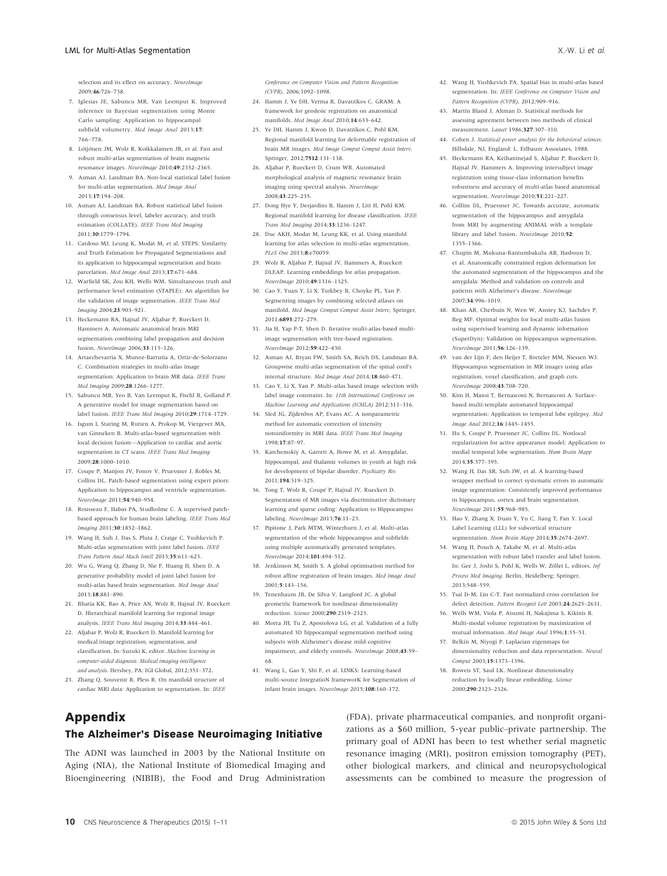selection and its effect on accuracy. NeuroImage 2009;46:726–738.

- 7. Iglesias JE, Sabuncu MR, Van Leemput K. Improved inference in Bayesian segmentation using Monte Carlo sampling: Application to hippocampal subfield volumetry. Med Image Anal 2013;17: 766–778.
- 8. Lötjönen JM, Wolz R, Koikkalainen JR, et al. Fast and robust multi-atlas segmentation of brain magnetic resonance images. NeuroImage 2010;49:2352–2365.
- 9. Asman AJ, Landman BA. Non-local statistical label fusion for multi-atlas segmentation. Med Image Anal 2013;17:194–208.
- 10. Asman AJ, Landman BA. Robust statistical label fusion through consensus level, labeler accuracy, and truth estimation (COLLATE). IEEE Trans Med Imaging 2011;30:1779–1794.
- 11. Cardoso MJ, Leung K, Modat M, et al. STEPS: Similarity and Truth Estimation for Propagated Segmentations and its application to hippocampal segmentation and brain parcelation. Med Image Anal 2013;17:671–684.
- 12. Warfield SK, Zou KH, Wells WM. Simultaneous truth and performance level estimation (STAPLE): An algorithm for the validation of image segmentation. IEEE Trans Med Imaging 2004;23:903–921.
- 13. Heckemann RA, Hajnal JV, Aljabar P, Rueckert D, Hammers A. Automatic anatomical brain MRI segmentation combining label propagation and decision fusion. NeuroImage 2006;33:115–126.
- 14. Artaechevarria X, Munoz-Barrutia A, Ortiz-de-Solorzano C. Combination strategies in multi-atlas image segmentation: Application to brain MR data. IEEE Trans Med Imaging 2009;28:1266–1277.
- 15. Sabuncu MR, Yeo B, Van Leemput K, Fischl B, Golland P. A generative model for image segmentation based on label fusion. IEEE Trans Med Imaging 2010;29:1714–1729.
- 16. Isgum I, Staring M, Rutten A, Prokop M, Viergever MA, van Ginneken B. Multi-atlas-based segmentation with local decision fusion—Application to cardiac and aortic segmentation in CT scans. IEEE Trans Med Imaging 2009;28:1000–1010.
- 17. Coupe P, Manjon JV, Fonov V, Pruessner J, Robles M, Collins DL. Patch-based segmentation using expert priors: Application to hippocampus and ventricle segmentation. NeuroImage 2011;54:940–954.
- 18. Rousseau F, Habas PA, Studholme C. A supervised patchbased approach for human brain labeling. IEEE Trans Med Imaging 2011;30:1852–1862.
- 19. Wang H, Suh J, Das S, Pluta J, Craige C, Yushkevich P. Multi-atlas segmentation with joint label fusion. IEEE Trans Pattern Anal Mach Intell 2013;35:611–623.
- 20. Wu G, Wang Q, Zhang D, Nie F, Huang H, Shen D. A generative probability model of joint label fusion for multi-atlas based brain segmentation. Med Image Anal 2013;18:881–890.
- 21. Bhatia KK, Rao A, Price AN, Wolz R, Hajnal JV, Rueckert D. Hierarchical manifold learning for regional image analysis. IEEE Trans Med Imaging 2014;33:444–461.
- 22. Aljabar P, Wolz R, Rueckert D. Manifold learning for medical image registration, segmentation, and classification. In: Suzuki K, editor. Machine learning in computer-aided diagnosis: Medical imaging intelligence and analysis. Hershey, PA: IGI Global, 2012;351–372.
- 23. Zhang Q, Souvenir R, Pless R. On manifold structure of cardiac MRI data: Application to segmentation. In: IEEE

Conference on Computer Vision and Pattern Recognition (CVPR), 2006;1092–1098.

- 24. Hamm J, Ye DH, Verma R, Davatzikos C. GRAM: A framework for geodesic registration on anatomical manifolds. Med Image Anal 2010;14:633–642.
- 25. Ye DH, Hamm J, Kwon D, Davatzikos C, Pohl KM. Regional manifold learning for deformable registration of brain MR images. Med Image Comput Comput Assist Interv, Springer, 2012;7512:131–138.
- 26. Aljabar P, Rueckert D, Crum WR. Automated morphological analysis of magnetic resonance brain imaging using spectral analysis. NeuroImage 2008;43:225–235.
- 27. Dong Hye Y, Desjardins B, Hamm J, Litt H, Pohl KM. Regional manifold learning for disease classification. IEEE Trans Med Imaging 2014;33:1236–1247.
- 28. Duc AKH, Modat M, Leung KK, et al. Using manifold learning for atlas selection in multi-atlas segmentation. PLoS One 2013;8:e70059.
- 29. Wolz R, Aljabar P, Hajnal JV, Hammers A, Rueckert DLEAP. Learning embeddings for atlas propagation. NeuroImage 2010;49:1316–1325.
- 30. Cao Y, Yuan Y, Li X, Turkbey B, Choyke PL, Yan P. Segmenting images by combining selected atlases on manifold. Med Image Comput Comput Assist Interv, Springer, 2011;6893:272–279.
- 31. Jia H, Yap P-T, Shen D. Iterative multi-atlas-based multiimage segmentation with tree-based registration. NeuroImage 2012;59:422–430.
- 32. Asman AJ, Bryan FW, Smith SA, Reich DS, Landman BA. Groupwise multi-atlas segmentation of the spinal cord's internal structure. Med Image Anal 2014;18:460–471.
- 33. Cao Y, Li X, Yan P. Multi-atlas based image selection with label image constraint. In: 11th International Conference on Machine Learning and Applications (ICMLA) 2012;311–316.
- 34. Sled JG, Zijdenbos AP, Evans AC. A nonparametric method for automatic correction of intensity nonuniformity in MRI data. IEEE Trans Med Imaging 1998;17:87–97.
- 35. Karchemskiy A, Garrett A, Howe M, et al. Amygdalar, hippocampal, and thalamic volumes in youth at high risk for development of bipolar disorder. Psychiatry Res 2011;194:319–325.
- 36. Tong T, Wolz R, Coupé P, Hajnal JV, Rueckert D. Segmentation of MR images via discriminative dictionary learning and sparse coding: Application to Hippocampus labeling. NeuroImage 2013;76:11–23.
- 37. Pipitone J, Park MTM, Winterburn J, et al. Multi-atlas segmentation of the whole hippocampus and subfields using multiple automatically generated templates. NeuroImage 2014;101:494–512.
- 38. Jenkinson M, Smith S. A global optimisation method for robust affine registration of brain images. Med Image Anal 2001;5:143–156.
- 39. Tenenbaum JB, De Silva V, Langford JC. A global geometric framework for nonlinear dimensionality reduction. Science 2000;290:2319–2323.
- 40. Morra JH, Tu Z, Apostolova LG, et al. Validation of a fully automated 3D hippocampal segmentation method using subjects with Alzheimer's disease mild cognitive impairment, and elderly controls. NeuroImage 2008;43:59-68.
- 41. Wang L, Gao Y, Shi F, et al. LINKS: Learning-based multi-source IntegratioN frameworK for Segmentation of infant brain images. NeuroImage 2015;108:160–172.
- 42. Wang H, Yushkevich PA. Spatial bias in multi-atlas based segmentation. In: IEEE Conference on Computer Vision and Pattern Recognition (CVPR), 2012;909–916.
- 43. Martin Bland J, Altman D. Statistical methods for assessing agreement between two methods of clinical measurement. Lancet 1986;327:307–310.
- 44. Cohen J. Statistical power analysis for the behavioral sciences Hillsdale, NJ, England: L. Erlbaum Associates, 1988.
- 45. Heckemann RA, Keihaninejad S, Aljabar P, Rueckert D, Hajnal JV, Hammers A. Improving intersubject image registration using tissue-class information benefits robustness and accuracy of multi-atlas based anatomical segmentation. NeuroImage 2010;51:221-227.
- 46. Collins DL, Pruessner JC. Towards accurate, automatic segmentation of the hippocampus and amygdala from MRI by augmenting ANIMAL with a template library and label fusion. NeuroImage 2010;52: 1355–1366.
- 47. Chupin M, Mukuna-Bantumbakulu AR, Hasboun D, et al. Anatomically constrained region deformation for the automated segmentation of the hippocampus and the amygdala: Method and validation on controls and patients with Alzheimer's disease. NeuroImage 2007;34:996–1019.
- 48. Khan AR, Cherbuin N, Wen W, Anstey KJ, Sachdev P, Beg MF. Optimal weights for local multi-atlas fusion using supervised learning and dynamic information (SuperDyn): Validation on hippocampus segmentation. NeuroImage 2011;56:126–139.
- 49. van der Lijn F, den Heijer T, Breteler MM, Niessen WJ. Hippocampus segmentation in MR images using atlas registration, voxel classification, and graph cuts. NeuroImage 2008;43:708–720.
- 50. Kim H, Mansi T, Bernasconi N, Bernasconi A. Surfacebased multi-template automated hippocampal segmentation: Application to temporal lobe epilepsy. Med Image Anal 2012;16:1445–1455.
- 51. Hu S, Coupé P, Pruessner JC, Collins DL. Nonlocal regularization for active appearance model: Application to medial temporal lobe segmentation. Hum Brain Mapp 2014;35:377–395.
- 52. Wang H, Das SR, Suh JW, et al. A learning-based wrapper method to correct systematic errors in automatic image segmentation: Consistently improved performance in hippocampus, cortex and brain segmentation. NeuroImage 2011;55:968–985.
- 53. Hao Y, Zhang X, Duan Y, Yu C, Jiang T, Fan Y. Local Label Learning (LLL) for subcortical structure segmentation. Hum Brain Mapp 2014;35:2674-2697.
- 54. Wang H, Pouch A, Takabe M, et al. Multi-atlas segmentation with robust label transfer and label fusion. In: Gee J, Joshi S, Pohl K, Wells W, Zöllei L, editors. Inf Process Med Imaging. Berlin, Heidelberg: Springer, 2013;548–559.
- 55. Tsai D-M, Lin C-T. Fast normalized cross correlation for defect detection. Pattern Recognit Lett 2003;24:2625–2631.
- 56. Wells WM, Viola P, Atsumi H, Nakajima S, Kikinis R. Multi-modal volume registration by maximization of mutual information. Med Image Anal 1996;1:35–51. 57. Belkin M, Niyogi P. Laplacian eigenmaps for
- dimensionality reduction and data representation. Neural Comput 2003;15:1373–1396.
- 58. Roweis ST, Saul LK. Nonlinear dimensionality reduction by locally linear embedding. Science 2000;290:2323–2326.

# Appendix

## The Alzheimer's Disease Neuroimaging Initiative

The ADNI was launched in 2003 by the National Institute on Aging (NIA), the National Institute of Biomedical Imaging and Bioengineering (NIBIB), the Food and Drug Administration

(FDA), private pharmaceutical companies, and nonprofit organizations as a \$60 million, 5-year public–private partnership. The primary goal of ADNI has been to test whether serial magnetic resonance imaging (MRI), positron emission tomography (PET), other biological markers, and clinical and neuropsychological assessments can be combined to measure the progression of